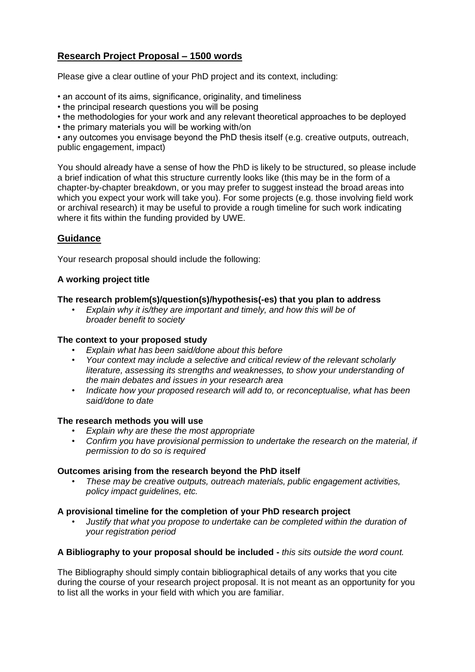# **Research Project Proposal – 1500 words**

Please give a clear outline of your PhD project and its context, including:

• an account of its aims, significance, originality, and timeliness

• the principal research questions you will be posing

• the methodologies for your work and any relevant theoretical approaches to be deployed

• the primary materials you will be working with/on

• any outcomes you envisage beyond the PhD thesis itself (e.g. creative outputs, outreach, public engagement, impact)

You should already have a sense of how the PhD is likely to be structured, so please include a brief indication of what this structure currently looks like (this may be in the form of a chapter-by-chapter breakdown, or you may prefer to suggest instead the broad areas into which you expect your work will take you). For some projects (e.g. those involving field work or archival research) it may be useful to provide a rough timeline for such work indicating where it fits within the funding provided by UWE.

## **Guidance**

Your research proposal should include the following:

### **A working project title**

#### **The research problem(s)/question(s)/hypothesis(-es) that you plan to address**

• *Explain why it is/they are important and timely, and how this will be of broader benefit to society* 

#### **The context to your proposed study**

- *Explain what has been said/done about this before*
- *Your context may include a selective and critical review of the relevant scholarly literature, assessing its strengths and weaknesses, to show your understanding of the main debates and issues in your research area*
- *Indicate how your proposed research will add to, or reconceptualise, what has been said/done to date*

#### **The research methods you will use**

- *Explain why are these the most appropriate*
- *Confirm you have provisional permission to undertake the research on the material, if permission to do so is required*

#### **Outcomes arising from the research beyond the PhD itself**

• *These may be creative outputs, outreach materials, public engagement activities, policy impact guidelines, etc.* 

#### **A provisional timeline for the completion of your PhD research project**

• *Justify that what you propose to undertake can be completed within the duration of your registration period* 

#### **A Bibliography to your proposal should be included -** *this sits outside the word count.*

The Bibliography should simply contain bibliographical details of any works that you cite during the course of your research project proposal. It is not meant as an opportunity for you to list all the works in your field with which you are familiar.